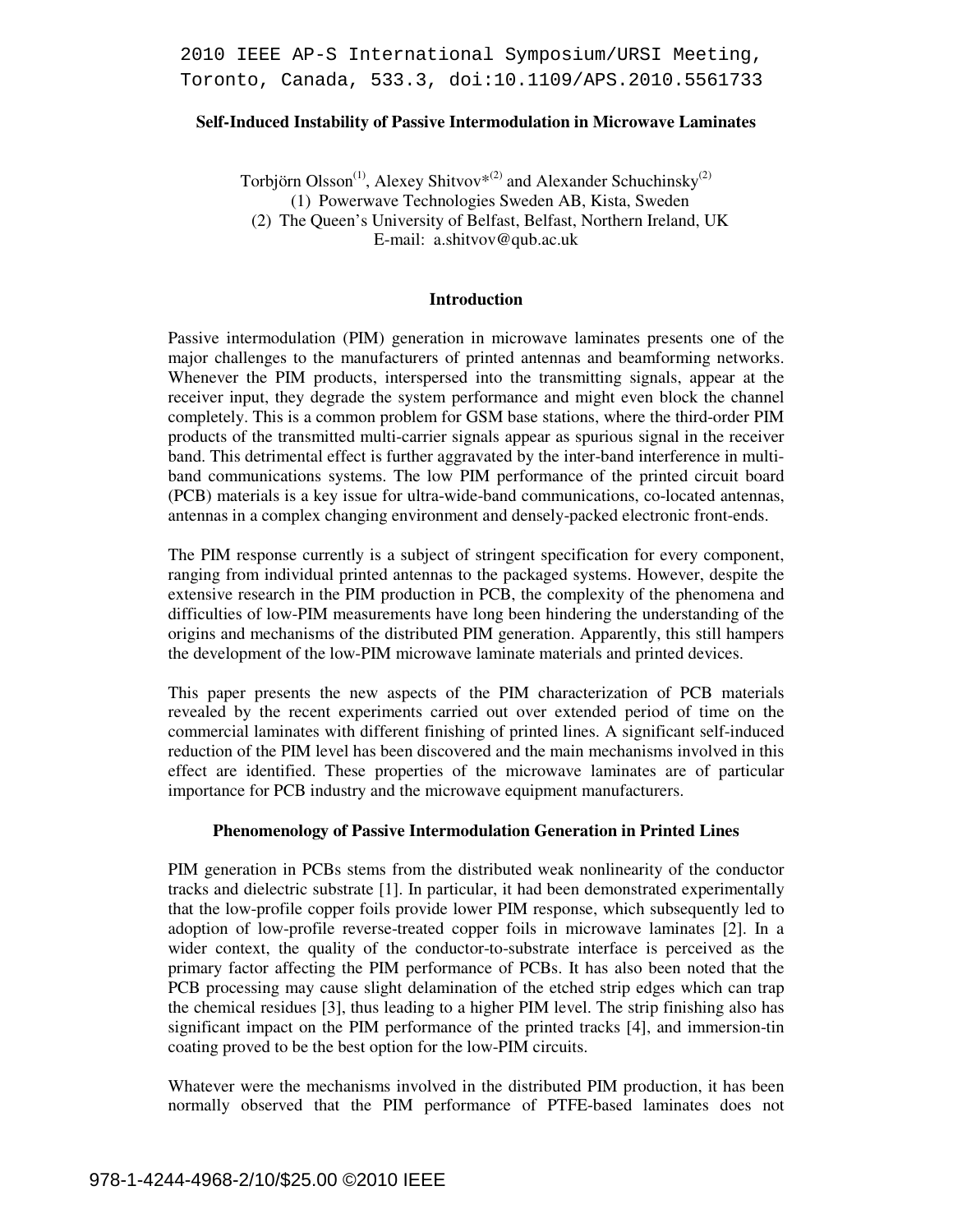2010 IEEE AP-S International Symposium/URSI Meeting, Toronto, Canada, 533.3, doi:10.1109/APS.2010.5561733

## **Self-Induced Instability of Passive Intermodulation in Microwave Laminates**

Torbjörn  $Oisson^{(1)}$ , Alexey Shitvov<sup>\*(2)</sup> and Alexander Schuchinsky<sup>(2)</sup> (1) Powerwave Technologies Sweden AB, Kista, Sweden (2) The Queen's University of Belfast, Belfast, Northern Ireland, UK E-mail: a.shitvov@qub.ac.uk

### **Introduction**

Passive intermodulation (PIM) generation in microwave laminates presents one of the major challenges to the manufacturers of printed antennas and beamforming networks. Whenever the PIM products, interspersed into the transmitting signals, appear at the receiver input, they degrade the system performance and might even block the channel completely. This is a common problem for GSM base stations, where the third-order PIM products of the transmitted multi-carrier signals appear as spurious signal in the receiver band. This detrimental effect is further aggravated by the inter-band interference in multiband communications systems. The low PIM performance of the printed circuit board (PCB) materials is a key issue for ultra-wide-band communications, co-located antennas, antennas in a complex changing environment and densely-packed electronic front-ends.

The PIM response currently is a subject of stringent specification for every component, ranging from individual printed antennas to the packaged systems. However, despite the extensive research in the PIM production in PCB, the complexity of the phenomena and difficulties of low-PIM measurements have long been hindering the understanding of the origins and mechanisms of the distributed PIM generation. Apparently, this still hampers the development of the low-PIM microwave laminate materials and printed devices.

This paper presents the new aspects of the PIM characterization of PCB materials revealed by the recent experiments carried out over extended period of time on the commercial laminates with different finishing of printed lines. A significant self-induced reduction of the PIM level has been discovered and the main mechanisms involved in this effect are identified. These properties of the microwave laminates are of particular importance for PCB industry and the microwave equipment manufacturers.

### **Phenomenology of Passive Intermodulation Generation in Printed Lines**

PIM generation in PCBs stems from the distributed weak nonlinearity of the conductor tracks and dielectric substrate [1]. In particular, it had been demonstrated experimentally that the low-profile copper foils provide lower PIM response, which subsequently led to adoption of low-profile reverse-treated copper foils in microwave laminates [2]. In a wider context, the quality of the conductor-to-substrate interface is perceived as the primary factor affecting the PIM performance of PCBs. It has also been noted that the PCB processing may cause slight delamination of the etched strip edges which can trap the chemical residues [3], thus leading to a higher PIM level. The strip finishing also has significant impact on the PIM performance of the printed tracks [4], and immersion-tin coating proved to be the best option for the low-PIM circuits.

Whatever were the mechanisms involved in the distributed PIM production, it has been normally observed that the PIM performance of PTFE-based laminates does not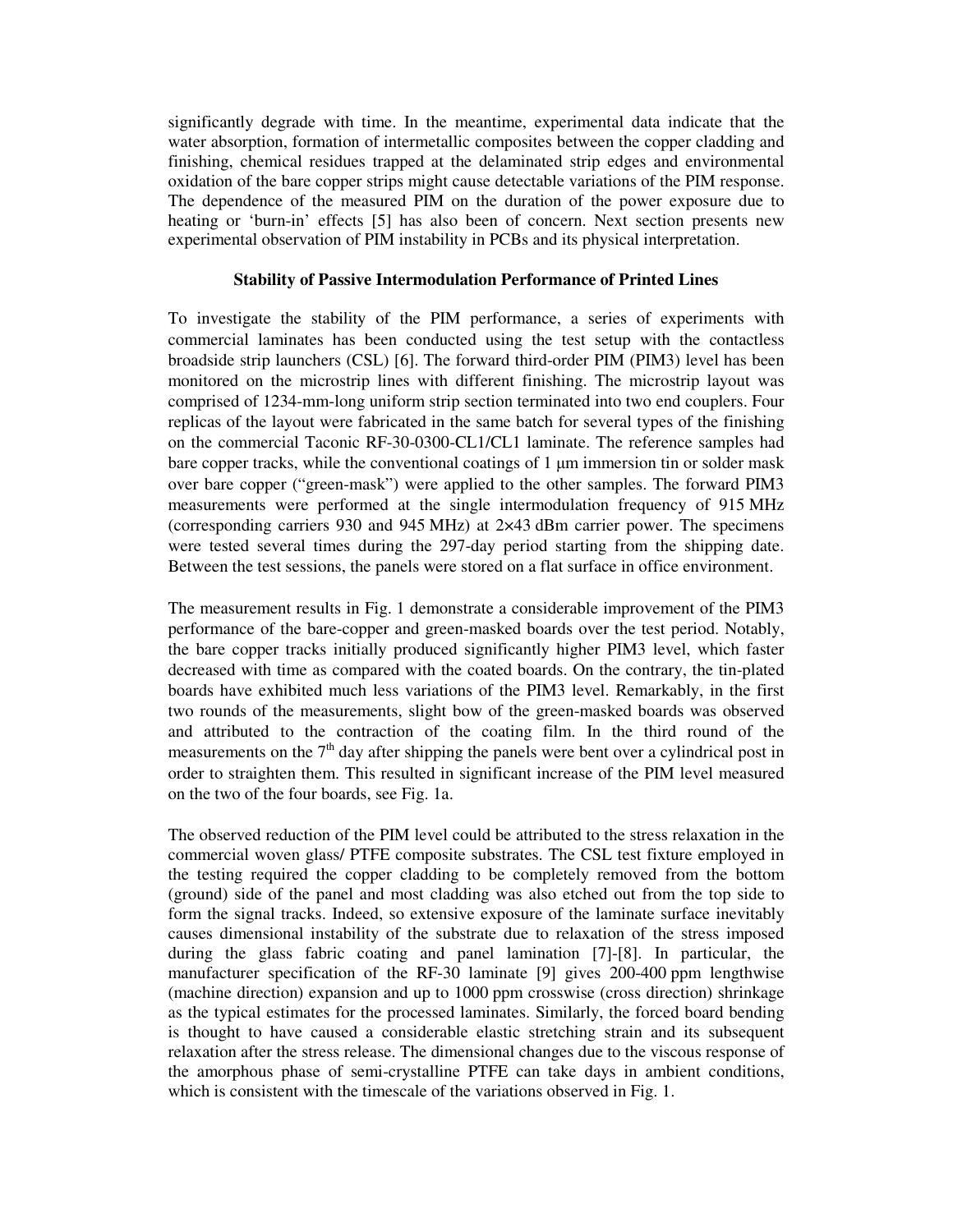significantly degrade with time. In the meantime, experimental data indicate that the water absorption, formation of intermetallic composites between the copper cladding and finishing, chemical residues trapped at the delaminated strip edges and environmental oxidation of the bare copper strips might cause detectable variations of the PIM response. The dependence of the measured PIM on the duration of the power exposure due to heating or 'burn-in' effects [5] has also been of concern. Next section presents new experimental observation of PIM instability in PCBs and its physical interpretation.

## **Stability of Passive Intermodulation Performance of Printed Lines**

To investigate the stability of the PIM performance, a series of experiments with commercial laminates has been conducted using the test setup with the contactless broadside strip launchers (CSL) [6]. The forward third-order PIM (PIM3) level has been monitored on the microstrip lines with different finishing. The microstrip layout was comprised of 1234-mm-long uniform strip section terminated into two end couplers. Four replicas of the layout were fabricated in the same batch for several types of the finishing on the commercial Taconic RF-30-0300-CL1/CL1 laminate. The reference samples had bare copper tracks, while the conventional coatings of 1 µm immersion tin or solder mask over bare copper ("green-mask") were applied to the other samples. The forward PIM3 measurements were performed at the single intermodulation frequency of 915 MHz (corresponding carriers 930 and 945 MHz) at 2×43 dBm carrier power. The specimens were tested several times during the 297-day period starting from the shipping date. Between the test sessions, the panels were stored on a flat surface in office environment.

The measurement results in Fig. 1 demonstrate a considerable improvement of the PIM3 performance of the bare-copper and green-masked boards over the test period. Notably, the bare copper tracks initially produced significantly higher PIM3 level, which faster decreased with time as compared with the coated boards. On the contrary, the tin-plated boards have exhibited much less variations of the PIM3 level. Remarkably, in the first two rounds of the measurements, slight bow of the green-masked boards was observed and attributed to the contraction of the coating film. In the third round of the measurements on the  $7<sup>th</sup>$  day after shipping the panels were bent over a cylindrical post in order to straighten them. This resulted in significant increase of the PIM level measured on the two of the four boards, see Fig. 1a.

The observed reduction of the PIM level could be attributed to the stress relaxation in the commercial woven glass/ PTFE composite substrates. The CSL test fixture employed in the testing required the copper cladding to be completely removed from the bottom (ground) side of the panel and most cladding was also etched out from the top side to form the signal tracks. Indeed, so extensive exposure of the laminate surface inevitably causes dimensional instability of the substrate due to relaxation of the stress imposed during the glass fabric coating and panel lamination [7]-[8]. In particular, the manufacturer specification of the RF-30 laminate [9] gives 200-400 ppm lengthwise (machine direction) expansion and up to 1000 ppm crosswise (cross direction) shrinkage as the typical estimates for the processed laminates. Similarly, the forced board bending is thought to have caused a considerable elastic stretching strain and its subsequent relaxation after the stress release. The dimensional changes due to the viscous response of the amorphous phase of semi-crystalline PTFE can take days in ambient conditions, which is consistent with the timescale of the variations observed in Fig. 1.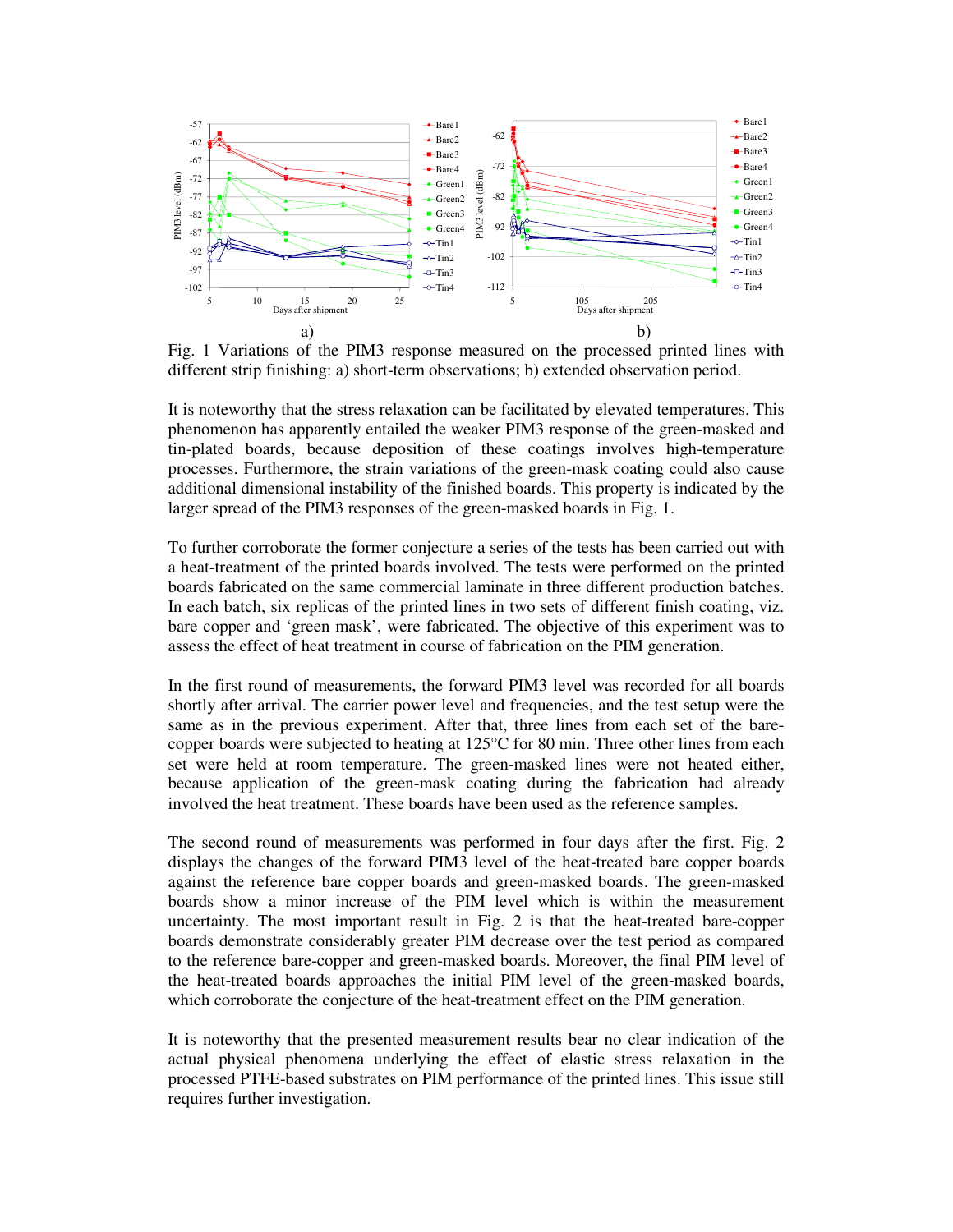

Fig. 1 Variations of the PIM3 response measured on the processed printed lines with different strip finishing: a) short-term observations; b) extended observation period.

It is noteworthy that the stress relaxation can be facilitated by elevated temperatures. This phenomenon has apparently entailed the weaker PIM3 response of the green-masked and tin-plated boards, because deposition of these coatings involves high-temperature processes. Furthermore, the strain variations of the green-mask coating could also cause additional dimensional instability of the finished boards. This property is indicated by the larger spread of the PIM3 responses of the green-masked boards in Fig. 1.

To further corroborate the former conjecture a series of the tests has been carried out with a heat-treatment of the printed boards involved. The tests were performed on the printed boards fabricated on the same commercial laminate in three different production batches. In each batch, six replicas of the printed lines in two sets of different finish coating, viz. bare copper and 'green mask', were fabricated. The objective of this experiment was to assess the effect of heat treatment in course of fabrication on the PIM generation.

In the first round of measurements, the forward PIM3 level was recorded for all boards shortly after arrival. The carrier power level and frequencies, and the test setup were the same as in the previous experiment. After that, three lines from each set of the barecopper boards were subjected to heating at 125°C for 80 min. Three other lines from each set were held at room temperature. The green-masked lines were not heated either, because application of the green-mask coating during the fabrication had already involved the heat treatment. These boards have been used as the reference samples.

The second round of measurements was performed in four days after the first. Fig. 2 displays the changes of the forward PIM3 level of the heat-treated bare copper boards against the reference bare copper boards and green-masked boards. The green-masked boards show a minor increase of the PIM level which is within the measurement uncertainty. The most important result in Fig. 2 is that the heat-treated bare-copper boards demonstrate considerably greater PIM decrease over the test period as compared to the reference bare-copper and green-masked boards. Moreover, the final PIM level of the heat-treated boards approaches the initial PIM level of the green-masked boards, which corroborate the conjecture of the heat-treatment effect on the PIM generation.

It is noteworthy that the presented measurement results bear no clear indication of the actual physical phenomena underlying the effect of elastic stress relaxation in the processed PTFE-based substrates on PIM performance of the printed lines. This issue still requires further investigation.